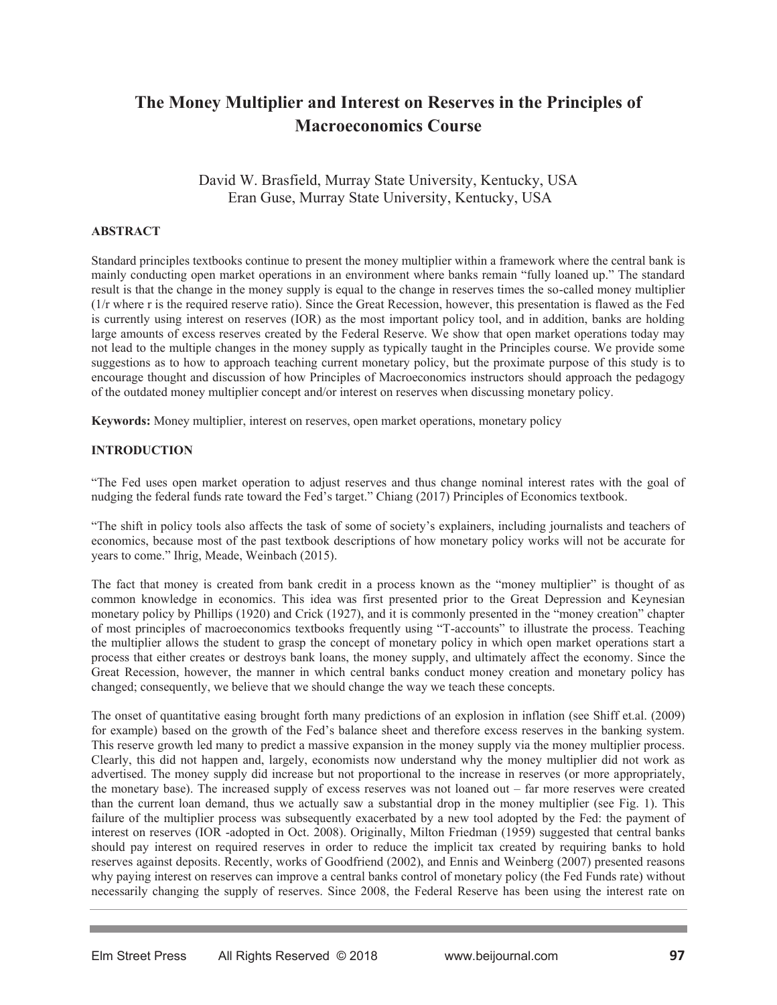# **The Money Multiplier and Interest on Reserves in the Principles of Macroeconomics Course**

David W. Brasfield, Murray State University, Kentucky, USA Eran Guse, Murray State University, Kentucky, USA

## **ABSTRACT**

Standard principles textbooks continue to present the money multiplier within a framework where the central bank is mainly conducting open market operations in an environment where banks remain "fully loaned up." The standard result is that the change in the money supply is equal to the change in reserves times the so-called money multiplier (1/r where r is the required reserve ratio). Since the Great Recession, however, this presentation is flawed as the Fed is currently using interest on reserves (IOR) as the most important policy tool, and in addition, banks are holding large amounts of excess reserves created by the Federal Reserve. We show that open market operations today may not lead to the multiple changes in the money supply as typically taught in the Principles course. We provide some suggestions as to how to approach teaching current monetary policy, but the proximate purpose of this study is to encourage thought and discussion of how Principles of Macroeconomics instructors should approach the pedagogy of the outdated money multiplier concept and/or interest on reserves when discussing monetary policy.

**Keywords:** Money multiplier, interest on reserves, open market operations, monetary policy

## **INTRODUCTION**

"The Fed uses open market operation to adjust reserves and thus change nominal interest rates with the goal of nudging the federal funds rate toward the Fed's target." Chiang (2017) Principles of Economics textbook.

"The shift in policy tools also affects the task of some of society's explainers, including journalists and teachers of economics, because most of the past textbook descriptions of how monetary policy works will not be accurate for years to come." Ihrig, Meade, Weinbach (2015).

The fact that money is created from bank credit in a process known as the "money multiplier" is thought of as common knowledge in economics. This idea was first presented prior to the Great Depression and Keynesian monetary policy by Phillips (1920) and Crick (1927), and it is commonly presented in the "money creation" chapter of most principles of macroeconomics textbooks frequently using "T-accounts" to illustrate the process. Teaching the multiplier allows the student to grasp the concept of monetary policy in which open market operations start a process that either creates or destroys bank loans, the money supply, and ultimately affect the economy. Since the Great Recession, however, the manner in which central banks conduct money creation and monetary policy has changed; consequently, we believe that we should change the way we teach these concepts.

The onset of quantitative easing brought forth many predictions of an explosion in inflation (see Shiff et.al. (2009) for example) based on the growth of the Fed's balance sheet and therefore excess reserves in the banking system. This reserve growth led many to predict a massive expansion in the money supply via the money multiplier process. Clearly, this did not happen and, largely, economists now understand why the money multiplier did not work as advertised. The money supply did increase but not proportional to the increase in reserves (or more appropriately, the monetary base). The increased supply of excess reserves was not loaned out – far more reserves were created than the current loan demand, thus we actually saw a substantial drop in the money multiplier (see Fig. 1). This failure of the multiplier process was subsequently exacerbated by a new tool adopted by the Fed: the payment of interest on reserves (IOR -adopted in Oct. 2008). Originally, Milton Friedman (1959) suggested that central banks should pay interest on required reserves in order to reduce the implicit tax created by requiring banks to hold reserves against deposits. Recently, works of Goodfriend (2002), and Ennis and Weinberg (2007) presented reasons why paying interest on reserves can improve a central banks control of monetary policy (the Fed Funds rate) without necessarily changing the supply of reserves. Since 2008, the Federal Reserve has been using the interest rate on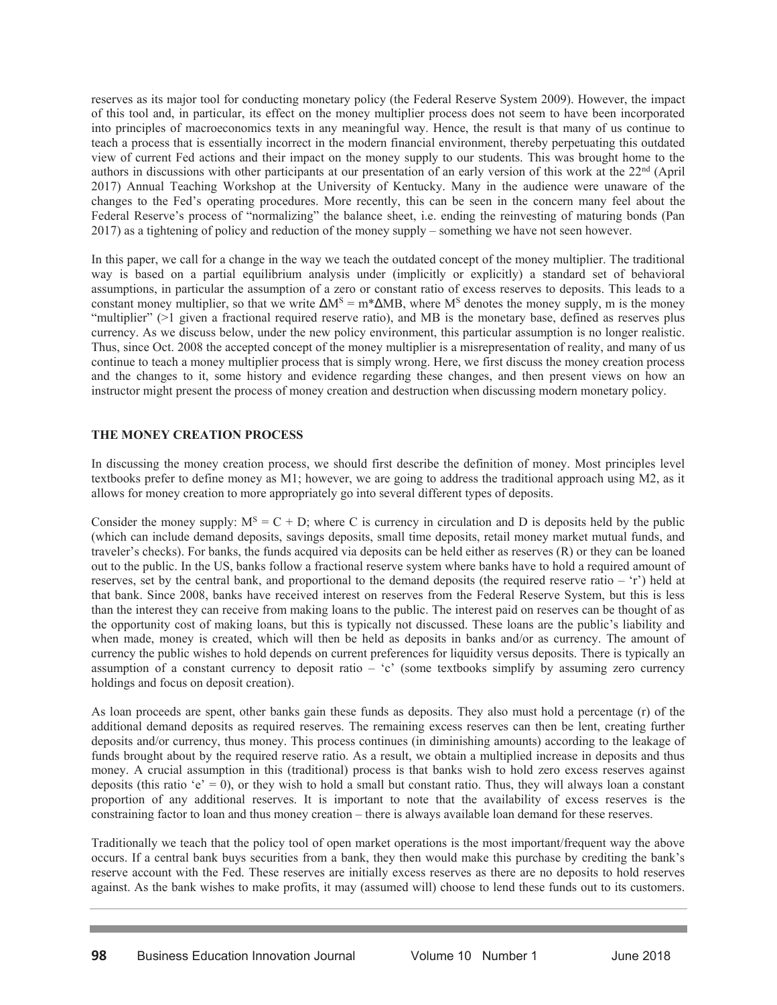reserves as its major tool for conducting monetary policy (the Federal Reserve System 2009). However, the impact of this tool and, in particular, its effect on the money multiplier process does not seem to have been incorporated into principles of macroeconomics texts in any meaningful way. Hence, the result is that many of us continue to teach a process that is essentially incorrect in the modern financial environment, thereby perpetuating this outdated view of current Fed actions and their impact on the money supply to our students. This was brought home to the authors in discussions with other participants at our presentation of an early version of this work at the  $22<sup>nd</sup>$  (April 2017) Annual Teaching Workshop at the University of Kentucky. Many in the audience were unaware of the changes to the Fed's operating procedures. More recently, this can be seen in the concern many feel about the Federal Reserve's process of "normalizing" the balance sheet, i.e. ending the reinvesting of maturing bonds (Pan 2017) as a tightening of policy and reduction of the money supply – something we have not seen however.

In this paper, we call for a change in the way we teach the outdated concept of the money multiplier. The traditional way is based on a partial equilibrium analysis under (implicitly or explicitly) a standard set of behavioral assumptions, in particular the assumption of a zero or constant ratio of excess reserves to deposits. This leads to a constant money multiplier, so that we write  $\Delta M^S = m^* \Delta MB$ , where  $M^S$  denotes the money supply, m is the money "multiplier" (>1 given a fractional required reserve ratio), and MB is the monetary base, defined as reserves plus currency. As we discuss below, under the new policy environment, this particular assumption is no longer realistic. Thus, since Oct. 2008 the accepted concept of the money multiplier is a misrepresentation of reality, and many of us continue to teach a money multiplier process that is simply wrong. Here, we first discuss the money creation process and the changes to it, some history and evidence regarding these changes, and then present views on how an instructor might present the process of money creation and destruction when discussing modern monetary policy.

# **THE MONEY CREATION PROCESS**

In discussing the money creation process, we should first describe the definition of money. Most principles level textbooks prefer to define money as M1; however, we are going to address the traditional approach using M2, as it allows for money creation to more appropriately go into several different types of deposits.

Consider the money supply:  $M^S = C + D$ ; where C is currency in circulation and D is deposits held by the public (which can include demand deposits, savings deposits, small time deposits, retail money market mutual funds, and traveler's checks). For banks, the funds acquired via deposits can be held either as reserves (R) or they can be loaned out to the public. In the US, banks follow a fractional reserve system where banks have to hold a required amount of reserves, set by the central bank, and proportional to the demand deposits (the required reserve ratio – 'r') held at that bank. Since 2008, banks have received interest on reserves from the Federal Reserve System, but this is less than the interest they can receive from making loans to the public. The interest paid on reserves can be thought of as the opportunity cost of making loans, but this is typically not discussed. These loans are the public's liability and when made, money is created, which will then be held as deposits in banks and/or as currency. The amount of currency the public wishes to hold depends on current preferences for liquidity versus deposits. There is typically an assumption of a constant currency to deposit ratio – 'c' (some textbooks simplify by assuming zero currency holdings and focus on deposit creation).

As loan proceeds are spent, other banks gain these funds as deposits. They also must hold a percentage (r) of the additional demand deposits as required reserves. The remaining excess reserves can then be lent, creating further deposits and/or currency, thus money. This process continues (in diminishing amounts) according to the leakage of funds brought about by the required reserve ratio. As a result, we obtain a multiplied increase in deposits and thus money. A crucial assumption in this (traditional) process is that banks wish to hold zero excess reserves against deposits (this ratio 'e' = 0), or they wish to hold a small but constant ratio. Thus, they will always loan a constant proportion of any additional reserves. It is important to note that the availability of excess reserves is the constraining factor to loan and thus money creation – there is always available loan demand for these reserves.

Traditionally we teach that the policy tool of open market operations is the most important/frequent way the above occurs. If a central bank buys securities from a bank, they then would make this purchase by crediting the bank's reserve account with the Fed. These reserves are initially excess reserves as there are no deposits to hold reserves against. As the bank wishes to make profits, it may (assumed will) choose to lend these funds out to its customers.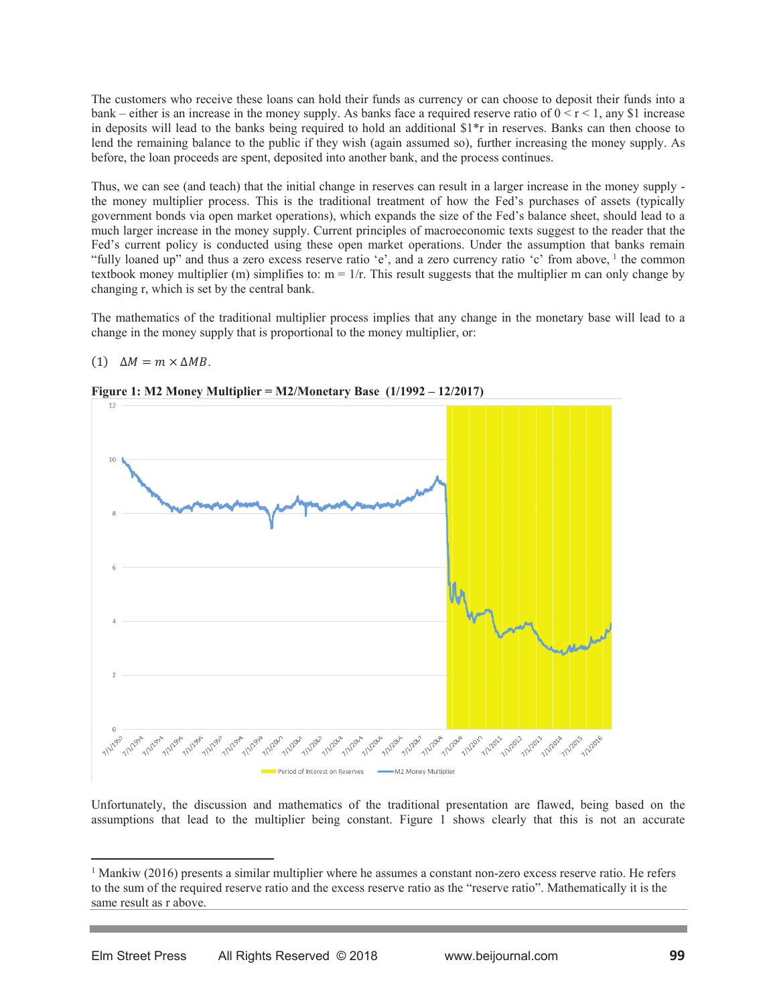The customers who receive these loans can hold their funds as currency or can choose to deposit their funds into a bank – either is an increase in the money supply. As banks face a required reserve ratio of  $0 \le r \le 1$ , any \$1 increase in deposits will lead to the banks being required to hold an additional \$1\*r in reserves. Banks can then choose to lend the remaining balance to the public if they wish (again assumed so), further increasing the money supply. As before, the loan proceeds are spent, deposited into another bank, and the process continues.

Thus, we can see (and teach) that the initial change in reserves can result in a larger increase in the money supply the money multiplier process. This is the traditional treatment of how the Fed's purchases of assets (typically government bonds via open market operations), which expands the size of the Fed's balance sheet, should lead to a much larger increase in the money supply. Current principles of macroeconomic texts suggest to the reader that the Fed's current policy is conducted using these open market operations. Under the assumption that banks remain "fully loaned up" and thus a zero excess reserve ratio 'e', and a zero currency ratio 'c' from above, <sup>1</sup> the common textbook money multiplier (m) simplifies to:  $m = 1/r$ . This result suggests that the multiplier m can only change by changing r, which is set by the central bank.

The mathematics of the traditional multiplier process implies that any change in the monetary base will lead to a change in the money supply that is proportional to the money multiplier, or:

## (1)  $\Delta M = m \times \Delta MB$ .



**Figure 1: M2 Money Multiplier = M2/Monetary Base**  $(1/1992 - 12/2017)$ 

Unfortunately, the discussion and mathematics of the traditional presentation are flawed, being based on the assumptions that lead to the multiplier being constant. Figure 1 shows clearly that this is not an accurate

 $\overline{a}$ 

<sup>&</sup>lt;sup>1</sup> Mankiw (2016) presents a similar multiplier where he assumes a constant non-zero excess reserve ratio. He refers to the sum of the required reserve ratio and the excess reserve ratio as the "reserve ratio". Mathematically it is the same result as r above.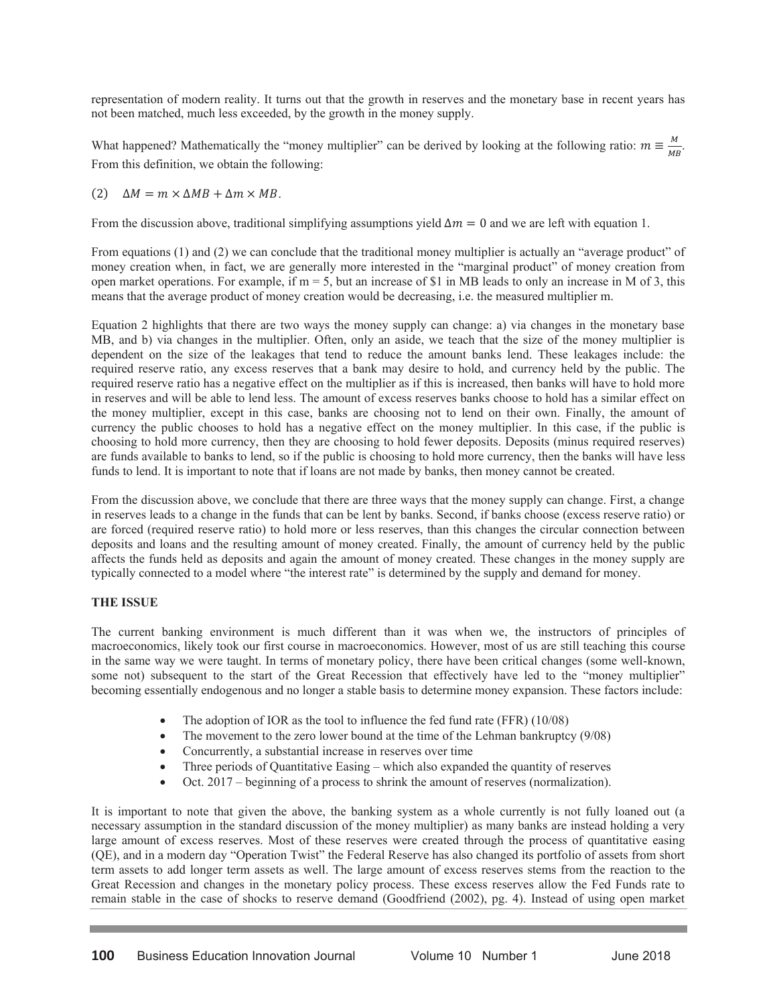representation of modern reality. It turns out that the growth in reserves and the monetary base in recent years has not been matched, much less exceeded, by the growth in the money supply.

What happened? Mathematically the "money multiplier" can be derived by looking at the following ratio:  $m \equiv \frac{M}{MB}$ . From this definition, we obtain the following:

(2)  $\Delta M = m \times \Delta MB + \Delta m \times MB$ .

From the discussion above, traditional simplifying assumptions yield  $\Delta m = 0$  and we are left with equation 1.

From equations (1) and (2) we can conclude that the traditional money multiplier is actually an "average product" of money creation when, in fact, we are generally more interested in the "marginal product" of money creation from open market operations. For example, if  $m = 5$ , but an increase of \$1 in MB leads to only an increase in M of 3, this means that the average product of money creation would be decreasing, i.e. the measured multiplier m.

Equation 2 highlights that there are two ways the money supply can change: a) via changes in the monetary base MB, and b) via changes in the multiplier. Often, only an aside, we teach that the size of the money multiplier is dependent on the size of the leakages that tend to reduce the amount banks lend. These leakages include: the required reserve ratio, any excess reserves that a bank may desire to hold, and currency held by the public. The required reserve ratio has a negative effect on the multiplier as if this is increased, then banks will have to hold more in reserves and will be able to lend less. The amount of excess reserves banks choose to hold has a similar effect on the money multiplier, except in this case, banks are choosing not to lend on their own. Finally, the amount of currency the public chooses to hold has a negative effect on the money multiplier. In this case, if the public is choosing to hold more currency, then they are choosing to hold fewer deposits. Deposits (minus required reserves) are funds available to banks to lend, so if the public is choosing to hold more currency, then the banks will have less funds to lend. It is important to note that if loans are not made by banks, then money cannot be created.

From the discussion above, we conclude that there are three ways that the money supply can change. First, a change in reserves leads to a change in the funds that can be lent by banks. Second, if banks choose (excess reserve ratio) or are forced (required reserve ratio) to hold more or less reserves, than this changes the circular connection between deposits and loans and the resulting amount of money created. Finally, the amount of currency held by the public affects the funds held as deposits and again the amount of money created. These changes in the money supply are typically connected to a model where "the interest rate" is determined by the supply and demand for money.

## **THE ISSUE**

The current banking environment is much different than it was when we, the instructors of principles of macroeconomics, likely took our first course in macroeconomics. However, most of us are still teaching this course in the same way we were taught. In terms of monetary policy, there have been critical changes (some well-known, some not) subsequent to the start of the Great Recession that effectively have led to the "money multiplier" becoming essentially endogenous and no longer a stable basis to determine money expansion. These factors include:

- The adoption of IOR as the tool to influence the fed fund rate (FFR)  $(10/08)$
- $\bullet$  The movement to the zero lower bound at the time of the Lehman bankruptcy (9/08)
- Concurrently, a substantial increase in reserves over time
- Three periods of Quantitative Easing which also expanded the quantity of reserves
- $\bullet$  Oct. 2017 beginning of a process to shrink the amount of reserves (normalization).

It is important to note that given the above, the banking system as a whole currently is not fully loaned out (a necessary assumption in the standard discussion of the money multiplier) as many banks are instead holding a very large amount of excess reserves. Most of these reserves were created through the process of quantitative easing (QE), and in a modern day "Operation Twist" the Federal Reserve has also changed its portfolio of assets from short term assets to add longer term assets as well. The large amount of excess reserves stems from the reaction to the Great Recession and changes in the monetary policy process. These excess reserves allow the Fed Funds rate to remain stable in the case of shocks to reserve demand (Goodfriend (2002), pg. 4). Instead of using open market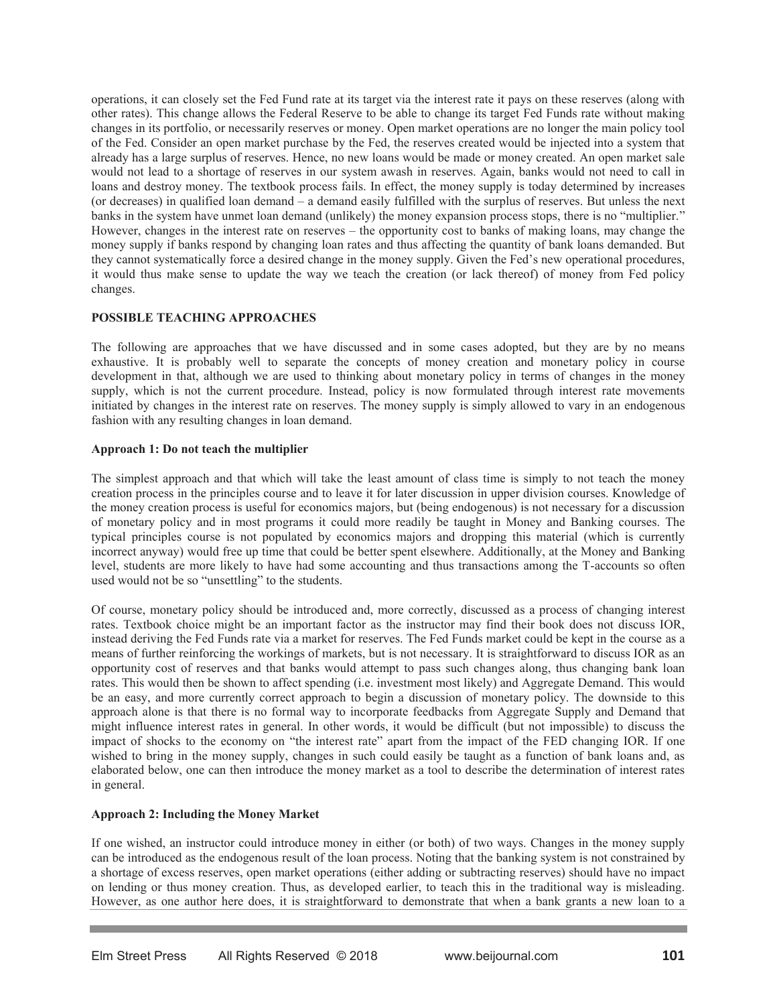operations, it can closely set the Fed Fund rate at its target via the interest rate it pays on these reserves (along with other rates). This change allows the Federal Reserve to be able to change its target Fed Funds rate without making changes in its portfolio, or necessarily reserves or money. Open market operations are no longer the main policy tool of the Fed. Consider an open market purchase by the Fed, the reserves created would be injected into a system that already has a large surplus of reserves. Hence, no new loans would be made or money created. An open market sale would not lead to a shortage of reserves in our system awash in reserves. Again, banks would not need to call in loans and destroy money. The textbook process fails. In effect, the money supply is today determined by increases (or decreases) in qualified loan demand – a demand easily fulfilled with the surplus of reserves. But unless the next banks in the system have unmet loan demand (unlikely) the money expansion process stops, there is no "multiplier." However, changes in the interest rate on reserves – the opportunity cost to banks of making loans, may change the money supply if banks respond by changing loan rates and thus affecting the quantity of bank loans demanded. But they cannot systematically force a desired change in the money supply. Given the Fed's new operational procedures, it would thus make sense to update the way we teach the creation (or lack thereof) of money from Fed policy changes.

# **POSSIBLE TEACHING APPROACHES**

The following are approaches that we have discussed and in some cases adopted, but they are by no means exhaustive. It is probably well to separate the concepts of money creation and monetary policy in course development in that, although we are used to thinking about monetary policy in terms of changes in the money supply, which is not the current procedure. Instead, policy is now formulated through interest rate movements initiated by changes in the interest rate on reserves. The money supply is simply allowed to vary in an endogenous fashion with any resulting changes in loan demand.

#### **Approach 1: Do not teach the multiplier**

The simplest approach and that which will take the least amount of class time is simply to not teach the money creation process in the principles course and to leave it for later discussion in upper division courses. Knowledge of the money creation process is useful for economics majors, but (being endogenous) is not necessary for a discussion of monetary policy and in most programs it could more readily be taught in Money and Banking courses. The typical principles course is not populated by economics majors and dropping this material (which is currently incorrect anyway) would free up time that could be better spent elsewhere. Additionally, at the Money and Banking level, students are more likely to have had some accounting and thus transactions among the T-accounts so often used would not be so "unsettling" to the students.

Of course, monetary policy should be introduced and, more correctly, discussed as a process of changing interest rates. Textbook choice might be an important factor as the instructor may find their book does not discuss IOR, instead deriving the Fed Funds rate via a market for reserves. The Fed Funds market could be kept in the course as a means of further reinforcing the workings of markets, but is not necessary. It is straightforward to discuss IOR as an opportunity cost of reserves and that banks would attempt to pass such changes along, thus changing bank loan rates. This would then be shown to affect spending (i.e. investment most likely) and Aggregate Demand. This would be an easy, and more currently correct approach to begin a discussion of monetary policy. The downside to this approach alone is that there is no formal way to incorporate feedbacks from Aggregate Supply and Demand that might influence interest rates in general. In other words, it would be difficult (but not impossible) to discuss the impact of shocks to the economy on "the interest rate" apart from the impact of the FED changing IOR. If one wished to bring in the money supply, changes in such could easily be taught as a function of bank loans and, as elaborated below, one can then introduce the money market as a tool to describe the determination of interest rates in general.

## **Approach 2: Including the Money Market**

If one wished, an instructor could introduce money in either (or both) of two ways. Changes in the money supply can be introduced as the endogenous result of the loan process. Noting that the banking system is not constrained by a shortage of excess reserves, open market operations (either adding or subtracting reserves) should have no impact on lending or thus money creation. Thus, as developed earlier, to teach this in the traditional way is misleading. However, as one author here does, it is straightforward to demonstrate that when a bank grants a new loan to a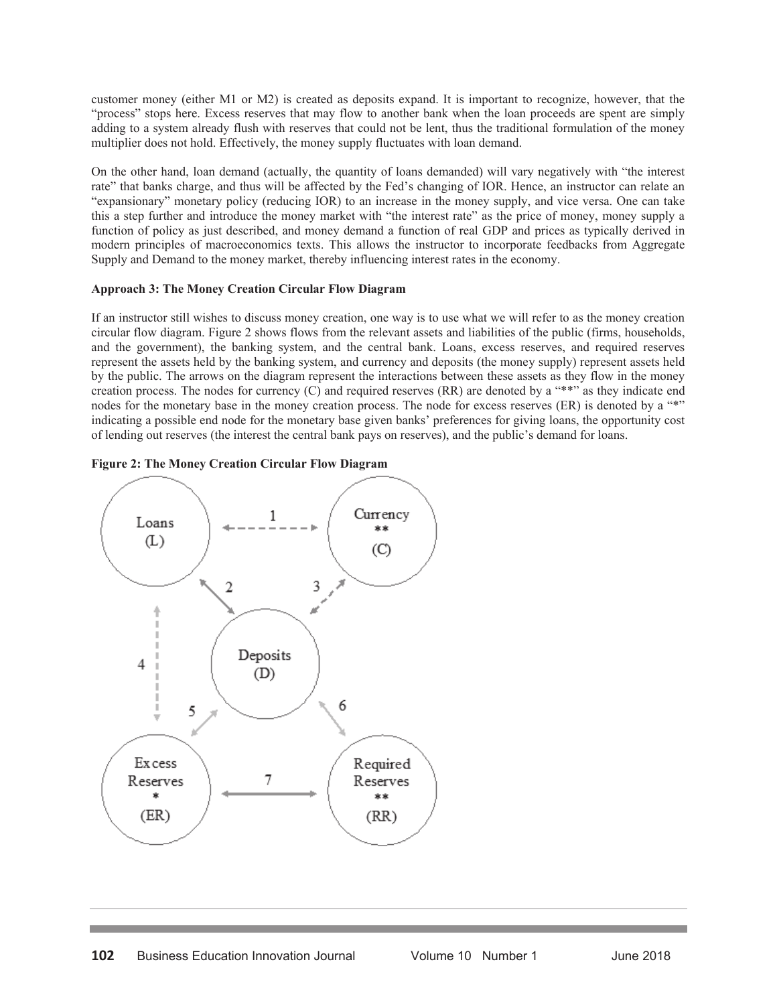customer money (either M1 or M2) is created as deposits expand. It is important to recognize, however, that the "process" stops here. Excess reserves that may flow to another bank when the loan proceeds are spent are simply adding to a system already flush with reserves that could not be lent, thus the traditional formulation of the money multiplier does not hold. Effectively, the money supply fluctuates with loan demand.

On the other hand, loan demand (actually, the quantity of loans demanded) will vary negatively with "the interest rate" that banks charge, and thus will be affected by the Fed's changing of IOR. Hence, an instructor can relate an "expansionary" monetary policy (reducing IOR) to an increase in the money supply, and vice versa. One can take this a step further and introduce the money market with "the interest rate" as the price of money, money supply a function of policy as just described, and money demand a function of real GDP and prices as typically derived in modern principles of macroeconomics texts. This allows the instructor to incorporate feedbacks from Aggregate Supply and Demand to the money market, thereby influencing interest rates in the economy.

# **Approach 3: The Money Creation Circular Flow Diagram**

If an instructor still wishes to discuss money creation, one way is to use what we will refer to as the money creation circular flow diagram. Figure 2 shows flows from the relevant assets and liabilities of the public (firms, households, and the government), the banking system, and the central bank. Loans, excess reserves, and required reserves represent the assets held by the banking system, and currency and deposits (the money supply) represent assets held by the public. The arrows on the diagram represent the interactions between these assets as they flow in the money creation process. The nodes for currency (C) and required reserves (RR) are denoted by a "\*\*" as they indicate end nodes for the monetary base in the money creation process. The node for excess reserves (ER) is denoted by a "\*" indicating a possible end node for the monetary base given banks' preferences for giving loans, the opportunity cost of lending out reserves (the interest the central bank pays on reserves), and the public's demand for loans.

# **Figure 2: The Money Creation Circular Flow Diagram**

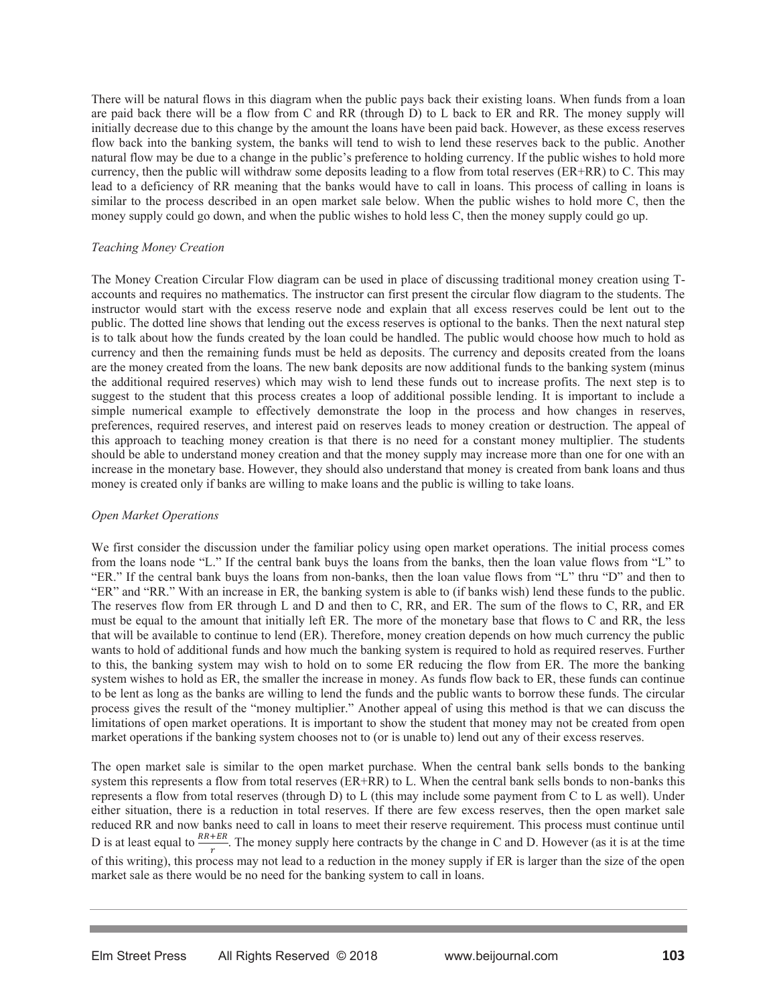There will be natural flows in this diagram when the public pays back their existing loans. When funds from a loan are paid back there will be a flow from C and RR (through D) to L back to ER and RR. The money supply will initially decrease due to this change by the amount the loans have been paid back. However, as these excess reserves flow back into the banking system, the banks will tend to wish to lend these reserves back to the public. Another natural flow may be due to a change in the public's preference to holding currency. If the public wishes to hold more currency, then the public will withdraw some deposits leading to a flow from total reserves (ER+RR) to C. This may lead to a deficiency of RR meaning that the banks would have to call in loans. This process of calling in loans is similar to the process described in an open market sale below. When the public wishes to hold more C, then the money supply could go down, and when the public wishes to hold less C, then the money supply could go up.

# *Teaching Money Creation*

The Money Creation Circular Flow diagram can be used in place of discussing traditional money creation using Taccounts and requires no mathematics. The instructor can first present the circular flow diagram to the students. The instructor would start with the excess reserve node and explain that all excess reserves could be lent out to the public. The dotted line shows that lending out the excess reserves is optional to the banks. Then the next natural step is to talk about how the funds created by the loan could be handled. The public would choose how much to hold as currency and then the remaining funds must be held as deposits. The currency and deposits created from the loans are the money created from the loans. The new bank deposits are now additional funds to the banking system (minus the additional required reserves) which may wish to lend these funds out to increase profits. The next step is to suggest to the student that this process creates a loop of additional possible lending. It is important to include a simple numerical example to effectively demonstrate the loop in the process and how changes in reserves, preferences, required reserves, and interest paid on reserves leads to money creation or destruction. The appeal of this approach to teaching money creation is that there is no need for a constant money multiplier. The students should be able to understand money creation and that the money supply may increase more than one for one with an increase in the monetary base. However, they should also understand that money is created from bank loans and thus money is created only if banks are willing to make loans and the public is willing to take loans.

## *Open Market Operations*

We first consider the discussion under the familiar policy using open market operations. The initial process comes from the loans node "L." If the central bank buys the loans from the banks, then the loan value flows from "L" to "ER." If the central bank buys the loans from non-banks, then the loan value flows from "L" thru "D" and then to "ER" and "RR." With an increase in ER, the banking system is able to (if banks wish) lend these funds to the public. The reserves flow from ER through L and D and then to C, RR, and ER. The sum of the flows to C, RR, and ER must be equal to the amount that initially left ER. The more of the monetary base that flows to C and RR, the less that will be available to continue to lend (ER). Therefore, money creation depends on how much currency the public wants to hold of additional funds and how much the banking system is required to hold as required reserves. Further to this, the banking system may wish to hold on to some ER reducing the flow from ER. The more the banking system wishes to hold as ER, the smaller the increase in money. As funds flow back to ER, these funds can continue to be lent as long as the banks are willing to lend the funds and the public wants to borrow these funds. The circular process gives the result of the "money multiplier." Another appeal of using this method is that we can discuss the limitations of open market operations. It is important to show the student that money may not be created from open market operations if the banking system chooses not to (or is unable to) lend out any of their excess reserves.

The open market sale is similar to the open market purchase. When the central bank sells bonds to the banking system this represents a flow from total reserves (ER+RR) to L. When the central bank sells bonds to non-banks this represents a flow from total reserves (through D) to L (this may include some payment from C to L as well). Under either situation, there is a reduction in total reserves. If there are few excess reserves, then the open market sale reduced RR and now banks need to call in loans to meet their reserve requirement. This process must continue until D is at least equal to  $\frac{RR+ER}{r}$ . The money supply here contracts by the change in C and D. However (as it is at the time of this writing), this process may not lead to a reduction in the money supply if ER is larger than the size of the open market sale as there would be no need for the banking system to call in loans.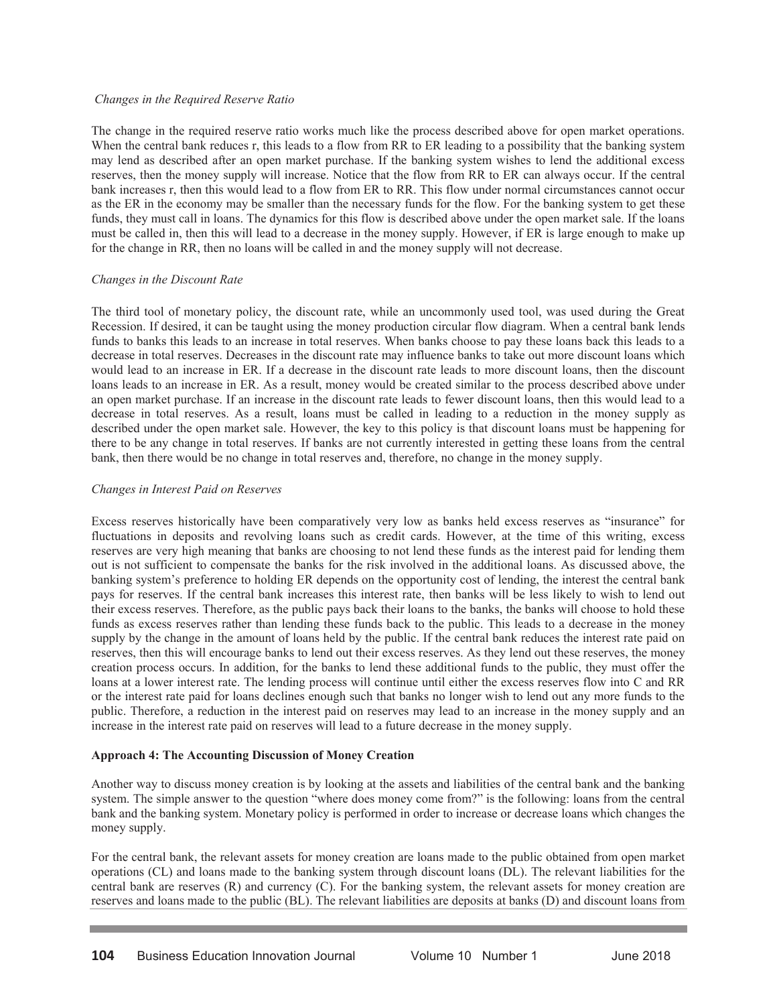#### *Changes in the Required Reserve Ratio*

The change in the required reserve ratio works much like the process described above for open market operations. When the central bank reduces r, this leads to a flow from RR to ER leading to a possibility that the banking system may lend as described after an open market purchase. If the banking system wishes to lend the additional excess reserves, then the money supply will increase. Notice that the flow from RR to ER can always occur. If the central bank increases r, then this would lead to a flow from ER to RR. This flow under normal circumstances cannot occur as the ER in the economy may be smaller than the necessary funds for the flow. For the banking system to get these funds, they must call in loans. The dynamics for this flow is described above under the open market sale. If the loans must be called in, then this will lead to a decrease in the money supply. However, if ER is large enough to make up for the change in RR, then no loans will be called in and the money supply will not decrease.

#### *Changes in the Discount Rate*

The third tool of monetary policy, the discount rate, while an uncommonly used tool, was used during the Great Recession. If desired, it can be taught using the money production circular flow diagram. When a central bank lends funds to banks this leads to an increase in total reserves. When banks choose to pay these loans back this leads to a decrease in total reserves. Decreases in the discount rate may influence banks to take out more discount loans which would lead to an increase in ER. If a decrease in the discount rate leads to more discount loans, then the discount loans leads to an increase in ER. As a result, money would be created similar to the process described above under an open market purchase. If an increase in the discount rate leads to fewer discount loans, then this would lead to a decrease in total reserves. As a result, loans must be called in leading to a reduction in the money supply as described under the open market sale. However, the key to this policy is that discount loans must be happening for there to be any change in total reserves. If banks are not currently interested in getting these loans from the central bank, then there would be no change in total reserves and, therefore, no change in the money supply.

#### *Changes in Interest Paid on Reserves*

Excess reserves historically have been comparatively very low as banks held excess reserves as "insurance" for fluctuations in deposits and revolving loans such as credit cards. However, at the time of this writing, excess reserves are very high meaning that banks are choosing to not lend these funds as the interest paid for lending them out is not sufficient to compensate the banks for the risk involved in the additional loans. As discussed above, the banking system's preference to holding ER depends on the opportunity cost of lending, the interest the central bank pays for reserves. If the central bank increases this interest rate, then banks will be less likely to wish to lend out their excess reserves. Therefore, as the public pays back their loans to the banks, the banks will choose to hold these funds as excess reserves rather than lending these funds back to the public. This leads to a decrease in the money supply by the change in the amount of loans held by the public. If the central bank reduces the interest rate paid on reserves, then this will encourage banks to lend out their excess reserves. As they lend out these reserves, the money creation process occurs. In addition, for the banks to lend these additional funds to the public, they must offer the loans at a lower interest rate. The lending process will continue until either the excess reserves flow into C and RR or the interest rate paid for loans declines enough such that banks no longer wish to lend out any more funds to the public. Therefore, a reduction in the interest paid on reserves may lead to an increase in the money supply and an increase in the interest rate paid on reserves will lead to a future decrease in the money supply.

#### **Approach 4: The Accounting Discussion of Money Creation**

Another way to discuss money creation is by looking at the assets and liabilities of the central bank and the banking system. The simple answer to the question "where does money come from?" is the following: loans from the central bank and the banking system. Monetary policy is performed in order to increase or decrease loans which changes the money supply.

For the central bank, the relevant assets for money creation are loans made to the public obtained from open market operations (CL) and loans made to the banking system through discount loans (DL). The relevant liabilities for the central bank are reserves (R) and currency (C). For the banking system, the relevant assets for money creation are reserves and loans made to the public (BL). The relevant liabilities are deposits at banks (D) and discount loans from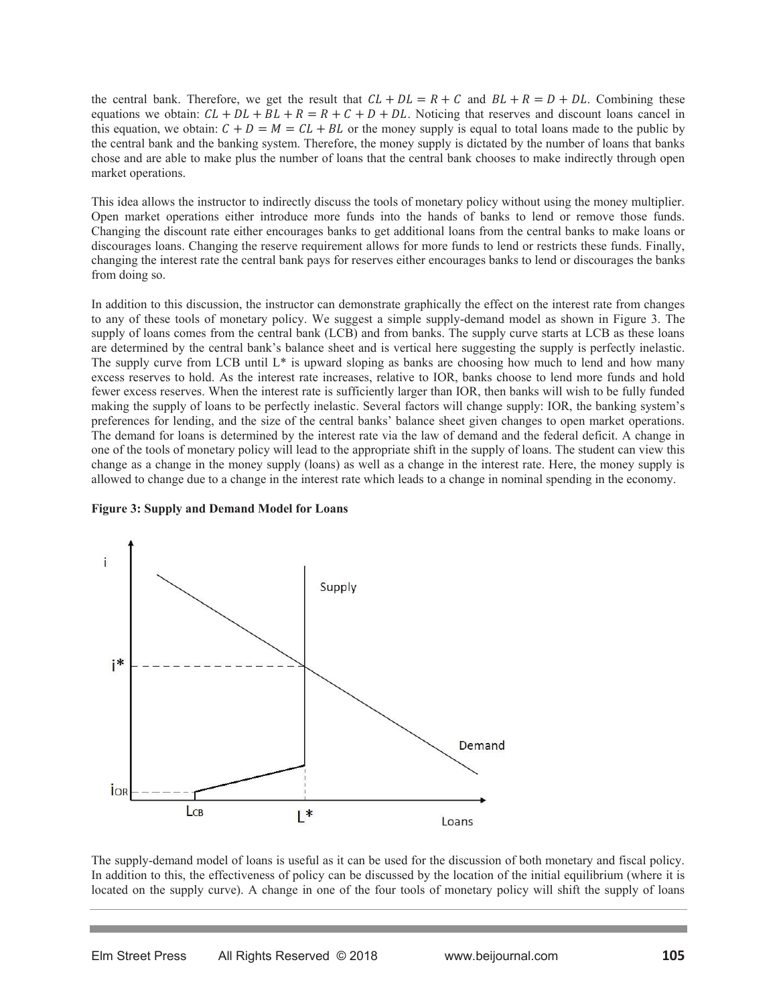the central bank. Therefore, we get the result that  $CL + DL = R + C$  and  $BL + R = D + DL$ . Combining these equations we obtain:  $CL + DL + BL + R = R + C + D + DL$ . Noticing that reserves and discount loans cancel in this equation, we obtain:  $C + D = M = CL + BL$  or the money supply is equal to total loans made to the public by the central bank and the banking system. Therefore, the money supply is dictated by the number of loans that banks chose and are able to make plus the number of loans that the central bank chooses to make indirectly through open market operations.

This idea allows the instructor to indirectly discuss the tools of monetary policy without using the money multiplier. Open market operations either introduce more funds into the hands of banks to lend or remove those funds. Changing the discount rate either encourages banks to get additional loans from the central banks to make loans or discourages loans. Changing the reserve requirement allows for more funds to lend or restricts these funds. Finally, changing the interest rate the central bank pays for reserves either encourages banks to lend or discourages the banks from doing so.

In addition to this discussion, the instructor can demonstrate graphically the effect on the interest rate from changes to any of these tools of monetary policy. We suggest a simple supply-demand model as shown in Figure 3. The supply of loans comes from the central bank (LCB) and from banks. The supply curve starts at LCB as these loans are determined by the central bank's balance sheet and is vertical here suggesting the supply is perfectly inelastic. The supply curve from LCB until L\* is upward sloping as banks are choosing how much to lend and how many excess reserves to hold. As the interest rate increases, relative to IOR, banks choose to lend more funds and hold fewer excess reserves. When the interest rate is sufficiently larger than IOR, then banks will wish to be fully funded making the supply of loans to be perfectly inelastic. Several factors will change supply: IOR, the banking system's preferences for lending, and the size of the central banks' balance sheet given changes to open market operations. The demand for loans is determined by the interest rate via the law of demand and the federal deficit. A change in one of the tools of monetary policy will lead to the appropriate shift in the supply of loans. The student can view this change as a change in the money supply (loans) as well as a change in the interest rate. Here, the money supply is allowed to change due to a change in the interest rate which leads to a change in nominal spending in the economy.

**Figure 3: Supply and Demand Model for Loans** 



The supply-demand model of loans is useful as it can be used for the discussion of both monetary and fiscal policy. In addition to this, the effectiveness of policy can be discussed by the location of the initial equilibrium (where it is located on the supply curve). A change in one of the four tools of monetary policy will shift the supply of loans